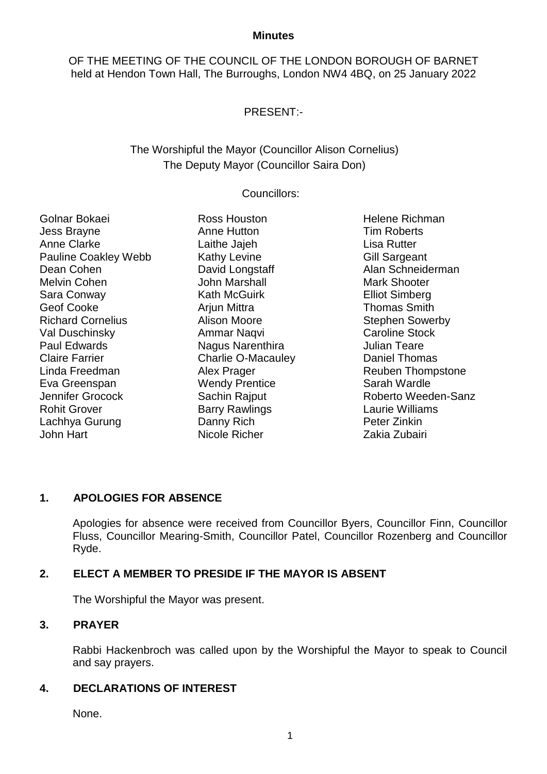#### **Minutes**

OF THE MEETING OF THE COUNCIL OF THE LONDON BOROUGH OF BARNET held at Hendon Town Hall, The Burroughs, London NW4 4BQ, on 25 January 2022

# PRESENT:-

# The Worshipful the Mayor (Councillor Alison Cornelius) The Deputy Mayor (Councillor Saira Don)

## Councillors:

Golnar Bokaei Jess Brayne Anne Clarke Pauline Coakley Webb Dean Cohen Melvin Cohen Sara Conway Geof Cooke Richard Cornelius Val Duschinsky Paul Edwards Claire Farrier Linda Freedman Eva Greenspan Jennifer Grocock Rohit Grover Lachhya Gurung John Hart

Ross Houston Anne Hutton Laithe Jajeh Kathy Levine David Longstaff John Marshall Kath McGuirk **Ariun Mittra** Alison Moore Ammar Naqvi Nagus Narenthira Charlie O-Macauley Alex Prager Wendy Prentice Sachin Rajput Barry Rawlings Danny Rich Nicole Richer

Helene Richman Tim Roberts Lisa Rutter Gill Sargeant Alan Schneiderman Mark Shooter Elliot Simberg Thomas Smith Stephen Sowerby Caroline Stock Julian Teare Daniel Thomas Reuben Thompstone Sarah Wardle Roberto Weeden-Sanz Laurie Williams Peter Zinkin Zakia Zubairi

# **1. APOLOGIES FOR ABSENCE**

Apologies for absence were received from Councillor Byers, Councillor Finn, Councillor Fluss, Councillor Mearing-Smith, Councillor Patel, Councillor Rozenberg and Councillor Ryde.

# **2. ELECT A MEMBER TO PRESIDE IF THE MAYOR IS ABSENT**

The Worshipful the Mayor was present.

## **3. PRAYER**

Rabbi Hackenbroch was called upon by the Worshipful the Mayor to speak to Council and say prayers.

## **4. DECLARATIONS OF INTEREST**

None.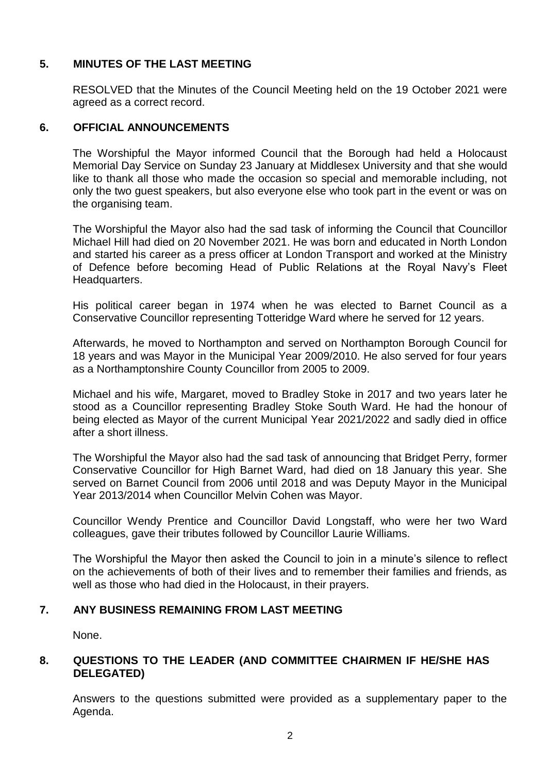## **5. MINUTES OF THE LAST MEETING**

RESOLVED that the Minutes of the Council Meeting held on the 19 October 2021 were agreed as a correct record.

## **6. OFFICIAL ANNOUNCEMENTS**

The Worshipful the Mayor informed Council that the Borough had held a Holocaust Memorial Day Service on Sunday 23 January at Middlesex University and that she would like to thank all those who made the occasion so special and memorable including, not only the two guest speakers, but also everyone else who took part in the event or was on the organising team.

The Worshipful the Mayor also had the sad task of informing the Council that Councillor Michael Hill had died on 20 November 2021. He was born and educated in North London and started his career as a press officer at London Transport and worked at the Ministry of Defence before becoming Head of Public Relations at the Royal Navy's Fleet Headquarters.

His political career began in 1974 when he was elected to Barnet Council as a Conservative Councillor representing Totteridge Ward where he served for 12 years.

Afterwards, he moved to Northampton and served on Northampton Borough Council for 18 years and was Mayor in the Municipal Year 2009/2010. He also served for four years as a Northamptonshire County Councillor from 2005 to 2009.

Michael and his wife, Margaret, moved to Bradley Stoke in 2017 and two years later he stood as a Councillor representing Bradley Stoke South Ward. He had the honour of being elected as Mayor of the current Municipal Year 2021/2022 and sadly died in office after a short illness.

The Worshipful the Mayor also had the sad task of announcing that Bridget Perry, former Conservative Councillor for High Barnet Ward, had died on 18 January this year. She served on Barnet Council from 2006 until 2018 and was Deputy Mayor in the Municipal Year 2013/2014 when Councillor Melvin Cohen was Mayor.

Councillor Wendy Prentice and Councillor David Longstaff, who were her two Ward colleagues, gave their tributes followed by Councillor Laurie Williams.

The Worshipful the Mayor then asked the Council to join in a minute's silence to reflect on the achievements of both of their lives and to remember their families and friends, as well as those who had died in the Holocaust, in their prayers.

## **7. ANY BUSINESS REMAINING FROM LAST MEETING**

None.

## **8. QUESTIONS TO THE LEADER (AND COMMITTEE CHAIRMEN IF HE/SHE HAS DELEGATED)**

Answers to the questions submitted were provided as a supplementary paper to the Agenda.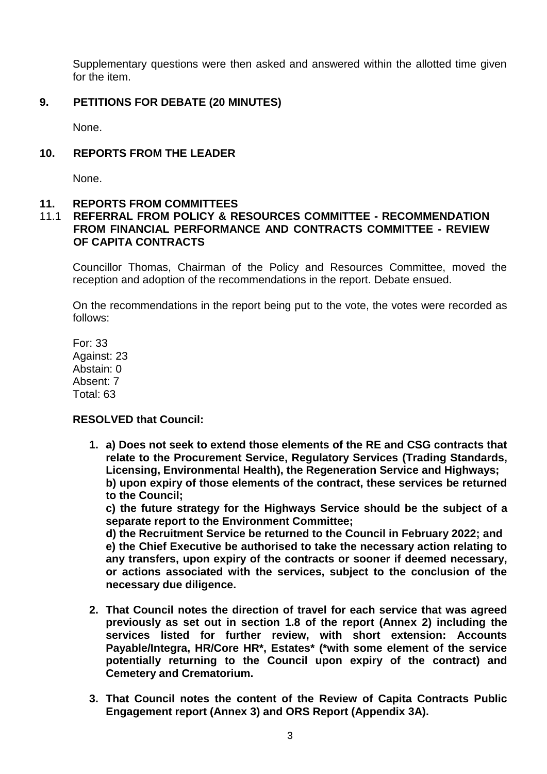Supplementary questions were then asked and answered within the allotted time given for the item.

## **9. PETITIONS FOR DEBATE (20 MINUTES)**

None.

## **10. REPORTS FROM THE LEADER**

None.

## **11. REPORTS FROM COMMITTEES**

## 11.1 **REFERRAL FROM POLICY & RESOURCES COMMITTEE - RECOMMENDATION FROM FINANCIAL PERFORMANCE AND CONTRACTS COMMITTEE - REVIEW OF CAPITA CONTRACTS**

Councillor Thomas, Chairman of the Policy and Resources Committee, moved the reception and adoption of the recommendations in the report. Debate ensued.

On the recommendations in the report being put to the vote, the votes were recorded as follows:

For: 33 Against: 23 Abstain: 0 Absent: 7 Total: 63

## **RESOLVED that Council:**

**1. a) Does not seek to extend those elements of the RE and CSG contracts that relate to the Procurement Service, Regulatory Services (Trading Standards, Licensing, Environmental Health), the Regeneration Service and Highways; b) upon expiry of those elements of the contract, these services be returned** 

**to the Council;**

**c) the future strategy for the Highways Service should be the subject of a separate report to the Environment Committee;**

**d) the Recruitment Service be returned to the Council in February 2022; and e) the Chief Executive be authorised to take the necessary action relating to any transfers, upon expiry of the contracts or sooner if deemed necessary, or actions associated with the services, subject to the conclusion of the necessary due diligence.**

- **2. That Council notes the direction of travel for each service that was agreed previously as set out in section 1.8 of the report (Annex 2) including the services listed for further review, with short extension: Accounts Payable/Integra, HR/Core HR\*, Estates\* (\*with some element of the service potentially returning to the Council upon expiry of the contract) and Cemetery and Crematorium.**
- **3. That Council notes the content of the Review of Capita Contracts Public Engagement report (Annex 3) and ORS Report (Appendix 3A).**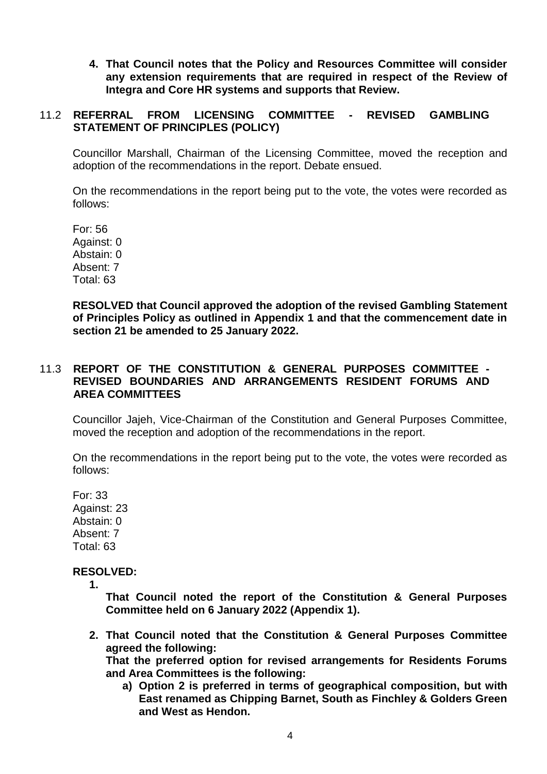**4. That Council notes that the Policy and Resources Committee will consider any extension requirements that are required in respect of the Review of Integra and Core HR systems and supports that Review.**

## 11.2 **REFERRAL FROM LICENSING COMMITTEE - REVISED GAMBLING STATEMENT OF PRINCIPLES (POLICY)**

Councillor Marshall, Chairman of the Licensing Committee, moved the reception and adoption of the recommendations in the report. Debate ensued.

On the recommendations in the report being put to the vote, the votes were recorded as follows:

For: 56 Against: 0 Abstain: 0 Absent: 7 Total: 63

**RESOLVED that Council approved the adoption of the revised Gambling Statement of Principles Policy as outlined in Appendix 1 and that the commencement date in section 21 be amended to 25 January 2022.**

### 11.3 **REPORT OF THE CONSTITUTION & GENERAL PURPOSES COMMITTEE - REVISED BOUNDARIES AND ARRANGEMENTS RESIDENT FORUMS AND AREA COMMITTEES**

Councillor Jajeh, Vice-Chairman of the Constitution and General Purposes Committee, moved the reception and adoption of the recommendations in the report.

On the recommendations in the report being put to the vote, the votes were recorded as follows:

For: 33 Against: 23 Abstain: 0 Absent: 7 Total: 63

## **RESOLVED:**

**1.**

**That Council noted the report of the Constitution & General Purposes Committee held on 6 January 2022 (Appendix 1).**

**2. That Council noted that the Constitution & General Purposes Committee agreed the following:**

**That the preferred option for revised arrangements for Residents Forums and Area Committees is the following:**

**a) Option 2 is preferred in terms of geographical composition, but with East renamed as Chipping Barnet, South as Finchley & Golders Green and West as Hendon.**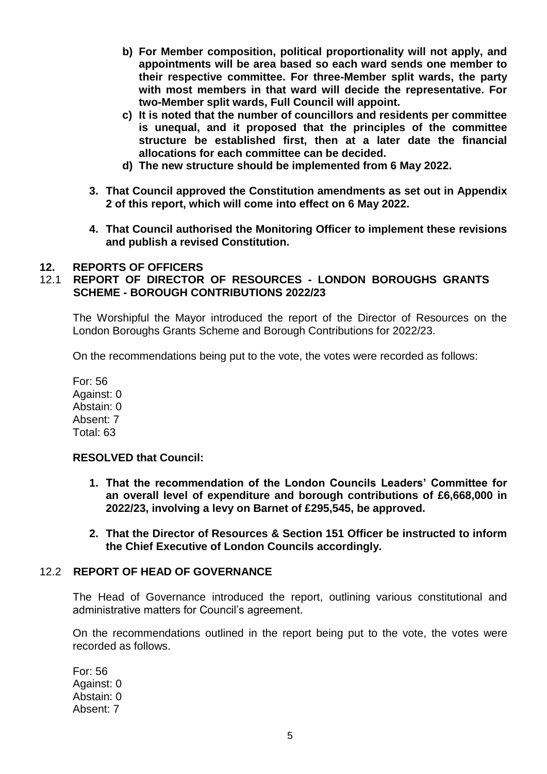- **b) For Member composition, political proportionality will not apply, and appointments will be area based so each ward sends one member to their respective committee. For three-Member split wards, the party with most members in that ward will decide the representative. For two-Member split wards, Full Council will appoint.**
- **c) It is noted that the number of councillors and residents per committee is unequal, and it proposed that the principles of the committee structure be established first, then at a later date the financial allocations for each committee can be decided.**
- **d) The new structure should be implemented from 6 May 2022.**
- **3. That Council approved the Constitution amendments as set out in Appendix 2 of this report, which will come into effect on 6 May 2022.**
- **4. That Council authorised the Monitoring Officer to implement these revisions and publish a revised Constitution.**

## **12. REPORTS OF OFFICERS**

## 12.1 **REPORT OF DIRECTOR OF RESOURCES - LONDON BOROUGHS GRANTS SCHEME - BOROUGH CONTRIBUTIONS 2022/23**

The Worshipful the Mayor introduced the report of the Director of Resources on the London Boroughs Grants Scheme and Borough Contributions for 2022/23.

On the recommendations being put to the vote, the votes were recorded as follows:

For: 56 Against: 0 Abstain: 0 Absent: 7 Total: 63

## **RESOLVED that Council:**

- **1. That the recommendation of the London Councils Leaders' Committee for an overall level of expenditure and borough contributions of £6,668,000 in 2022/23, involving a levy on Barnet of £295,545, be approved.**
- **2. That the Director of Resources & Section 151 Officer be instructed to inform the Chief Executive of London Councils accordingly.**

### 12.2 **REPORT OF HEAD OF GOVERNANCE**

The Head of Governance introduced the report, outlining various constitutional and administrative matters for Council's agreement.

On the recommendations outlined in the report being put to the vote, the votes were recorded as follows.

For: 56 Against: 0 Abstain: 0 Absent: 7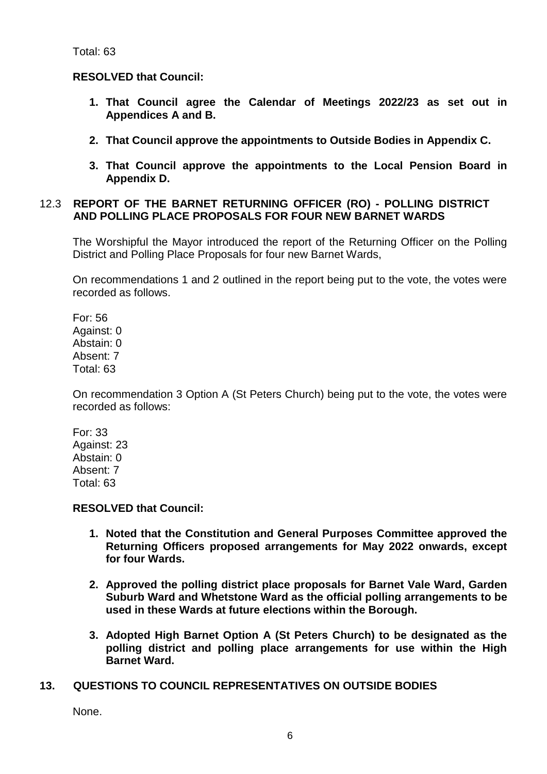## **RESOLVED that Council:**

- **1. That Council agree the Calendar of Meetings 2022/23 as set out in Appendices A and B.**
- **2. That Council approve the appointments to Outside Bodies in Appendix C.**
- **3. That Council approve the appointments to the Local Pension Board in Appendix D.**

## 12.3 **REPORT OF THE BARNET RETURNING OFFICER (RO) - POLLING DISTRICT AND POLLING PLACE PROPOSALS FOR FOUR NEW BARNET WARDS**

The Worshipful the Mayor introduced the report of the Returning Officer on the Polling District and Polling Place Proposals for four new Barnet Wards,

On recommendations 1 and 2 outlined in the report being put to the vote, the votes were recorded as follows.

For: 56 Against: 0 Abstain: 0 Absent: 7 Total: 63

On recommendation 3 Option A (St Peters Church) being put to the vote, the votes were recorded as follows:

For: 33 Against: 23 Abstain: 0 Absent: 7 Total: 63

## **RESOLVED that Council:**

- **1. Noted that the Constitution and General Purposes Committee approved the Returning Officers proposed arrangements for May 2022 onwards, except for four Wards.**
- **2. Approved the polling district place proposals for Barnet Vale Ward, Garden Suburb Ward and Whetstone Ward as the official polling arrangements to be used in these Wards at future elections within the Borough.**
- **3. Adopted High Barnet Option A (St Peters Church) to be designated as the polling district and polling place arrangements for use within the High Barnet Ward.**

## **13. QUESTIONS TO COUNCIL REPRESENTATIVES ON OUTSIDE BODIES**

None.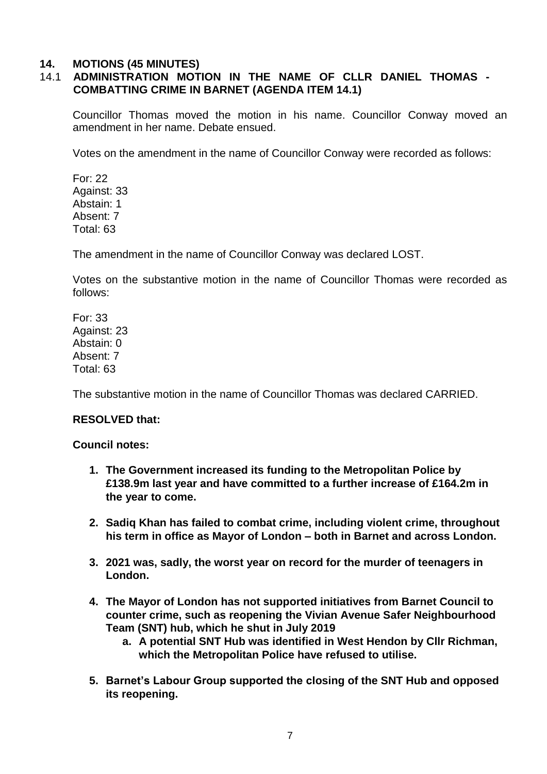## **14. MOTIONS (45 MINUTES)**

# 14.1 **ADMINISTRATION MOTION IN THE NAME OF CLLR DANIEL THOMAS - COMBATTING CRIME IN BARNET (AGENDA ITEM 14.1)**

Councillor Thomas moved the motion in his name. Councillor Conway moved an amendment in her name. Debate ensued.

Votes on the amendment in the name of Councillor Conway were recorded as follows:

For: 22 Against: 33 Abstain: 1 Absent: 7 Total: 63

The amendment in the name of Councillor Conway was declared LOST.

Votes on the substantive motion in the name of Councillor Thomas were recorded as follows:

For: 33 Against: 23 Abstain: 0 Absent: 7 Total: 63

The substantive motion in the name of Councillor Thomas was declared CARRIED.

## **RESOLVED that:**

### **Council notes:**

- **1. The Government increased its funding to the Metropolitan Police by £138.9m last year and have committed to a further increase of £164.2m in the year to come.**
- **2. Sadiq Khan has failed to combat crime, including violent crime, throughout his term in office as Mayor of London – both in Barnet and across London.**
- **3. 2021 was, sadly, the worst year on record for the murder of teenagers in London.**
- **4. The Mayor of London has not supported initiatives from Barnet Council to counter crime, such as reopening the Vivian Avenue Safer Neighbourhood Team (SNT) hub, which he shut in July 2019**
	- **a. A potential SNT Hub was identified in West Hendon by Cllr Richman, which the Metropolitan Police have refused to utilise.**
- **5. Barnet's Labour Group supported the closing of the SNT Hub and opposed its reopening.**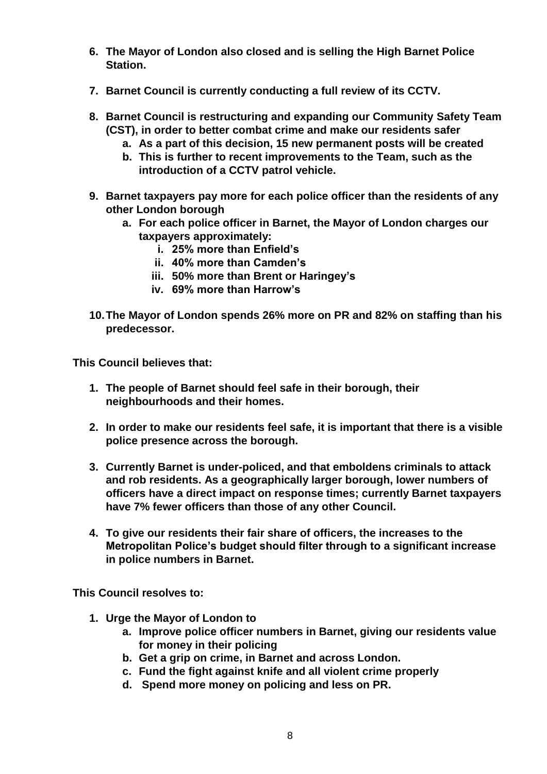- **6. The Mayor of London also closed and is selling the High Barnet Police Station.**
- **7. Barnet Council is currently conducting a full review of its CCTV.**
- **8. Barnet Council is restructuring and expanding our Community Safety Team (CST), in order to better combat crime and make our residents safer**
	- **a. As a part of this decision, 15 new permanent posts will be created**
	- **b. This is further to recent improvements to the Team, such as the introduction of a CCTV patrol vehicle.**
- **9. Barnet taxpayers pay more for each police officer than the residents of any other London borough**
	- **a. For each police officer in Barnet, the Mayor of London charges our taxpayers approximately:**
		- **i. 25% more than Enfield's**
		- **ii. 40% more than Camden's**
		- **iii. 50% more than Brent or Haringey's**
		- **iv. 69% more than Harrow's**
- **10.The Mayor of London spends 26% more on PR and 82% on staffing than his predecessor.**

**This Council believes that:**

- **1. The people of Barnet should feel safe in their borough, their neighbourhoods and their homes.**
- **2. In order to make our residents feel safe, it is important that there is a visible police presence across the borough.**
- **3. Currently Barnet is under-policed, and that emboldens criminals to attack and rob residents. As a geographically larger borough, lower numbers of officers have a direct impact on response times; currently Barnet taxpayers have 7% fewer officers than those of any other Council.**
- **4. To give our residents their fair share of officers, the increases to the Metropolitan Police's budget should filter through to a significant increase in police numbers in Barnet.**

**This Council resolves to:**

- **1. Urge the Mayor of London to** 
	- **a. Improve police officer numbers in Barnet, giving our residents value for money in their policing**
	- **b. Get a grip on crime, in Barnet and across London.**
	- **c. Fund the fight against knife and all violent crime properly**
	- **d. Spend more money on policing and less on PR.**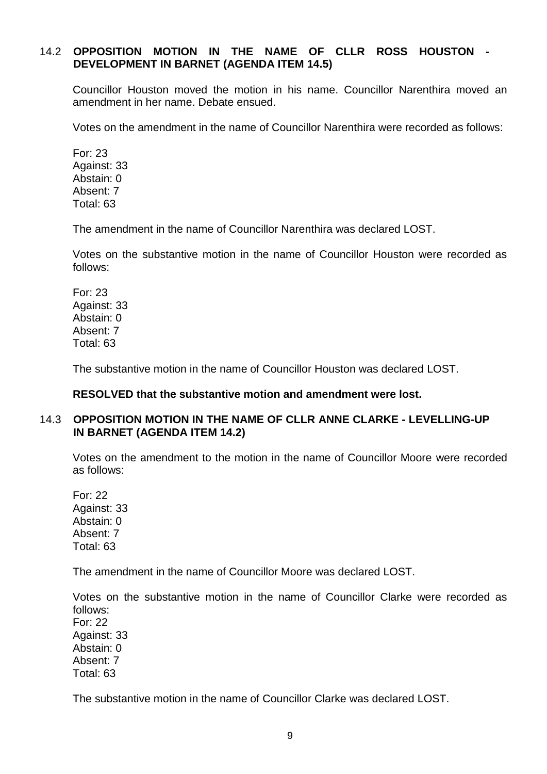## 14.2 **OPPOSITION MOTION IN THE NAME OF CLLR ROSS HOUSTON - DEVELOPMENT IN BARNET (AGENDA ITEM 14.5)**

Councillor Houston moved the motion in his name. Councillor Narenthira moved an amendment in her name. Debate ensued.

Votes on the amendment in the name of Councillor Narenthira were recorded as follows:

For: 23 Against: 33 Abstain: 0 Absent: 7 Total: 63

The amendment in the name of Councillor Narenthira was declared LOST.

Votes on the substantive motion in the name of Councillor Houston were recorded as follows:

For: 23 Against: 33 Abstain: 0 Absent: 7 Total: 63

The substantive motion in the name of Councillor Houston was declared LOST.

## **RESOLVED that the substantive motion and amendment were lost.**

## 14.3 **OPPOSITION MOTION IN THE NAME OF CLLR ANNE CLARKE - LEVELLING-UP IN BARNET (AGENDA ITEM 14.2)**

Votes on the amendment to the motion in the name of Councillor Moore were recorded as follows:

For: 22 Against: 33 Abstain: 0 Absent: 7 Total: 63

The amendment in the name of Councillor Moore was declared LOST.

Votes on the substantive motion in the name of Councillor Clarke were recorded as follows: For: 22 Against: 33 Abstain: 0 Absent: 7 Total: 63

The substantive motion in the name of Councillor Clarke was declared LOST.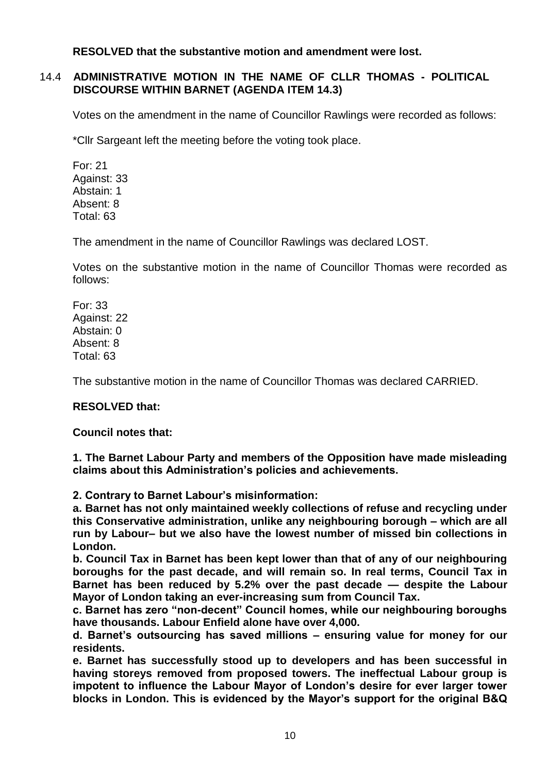**RESOLVED that the substantive motion and amendment were lost.** 

## 14.4 **ADMINISTRATIVE MOTION IN THE NAME OF CLLR THOMAS - POLITICAL DISCOURSE WITHIN BARNET (AGENDA ITEM 14.3)**

Votes on the amendment in the name of Councillor Rawlings were recorded as follows:

\*Cllr Sargeant left the meeting before the voting took place.

For: 21 Against: 33 Abstain: 1 Absent: 8 Total: 63

The amendment in the name of Councillor Rawlings was declared LOST.

Votes on the substantive motion in the name of Councillor Thomas were recorded as follows:

For: 33 Against: 22 Abstain: 0 Absent: 8 Total: 63

The substantive motion in the name of Councillor Thomas was declared CARRIED.

# **RESOLVED that:**

## **Council notes that:**

**1. The Barnet Labour Party and members of the Opposition have made misleading claims about this Administration's policies and achievements.** 

**2. Contrary to Barnet Labour's misinformation:**

**a. Barnet has not only maintained weekly collections of refuse and recycling under this Conservative administration, unlike any neighbouring borough – which are all run by Labour– but we also have the lowest number of missed bin collections in London.**

**b. Council Tax in Barnet has been kept lower than that of any of our neighbouring boroughs for the past decade, and will remain so. In real terms, Council Tax in Barnet has been reduced by 5.2% over the past decade — despite the Labour Mayor of London taking an ever-increasing sum from Council Tax.**

**c. Barnet has zero "non-decent" Council homes, while our neighbouring boroughs have thousands. Labour Enfield alone have over 4,000.**

**d. Barnet's outsourcing has saved millions – ensuring value for money for our residents.**

**e. Barnet has successfully stood up to developers and has been successful in having storeys removed from proposed towers. The ineffectual Labour group is impotent to influence the Labour Mayor of London's desire for ever larger tower blocks in London. This is evidenced by the Mayor's support for the original B&Q**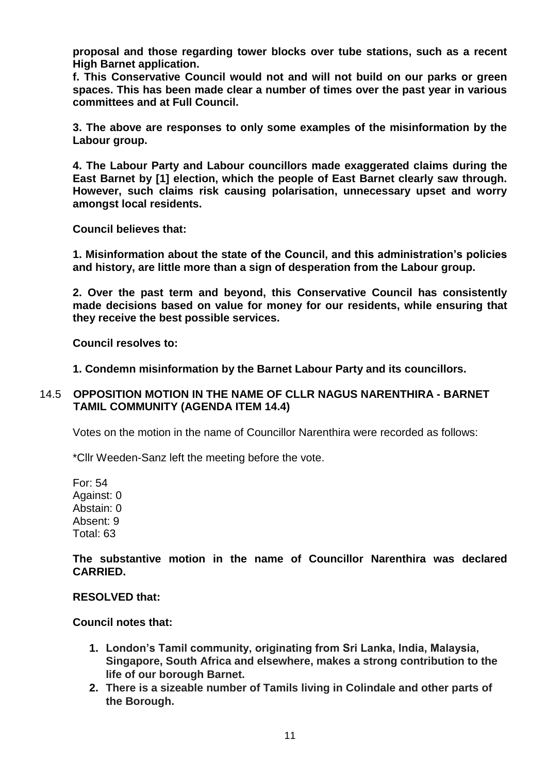**proposal and those regarding tower blocks over tube stations, such as a recent High Barnet application.**

**f. This Conservative Council would not and will not build on our parks or green spaces. This has been made clear a number of times over the past year in various committees and at Full Council.**

**3. The above are responses to only some examples of the misinformation by the Labour group.**

**4. The Labour Party and Labour councillors made exaggerated claims during the East Barnet by [1] election, which the people of East Barnet clearly saw through. However, such claims risk causing polarisation, unnecessary upset and worry amongst local residents.**

**Council believes that:**

**1. Misinformation about the state of the Council, and this administration's policies and history, are little more than a sign of desperation from the Labour group.**

**2. Over the past term and beyond, this Conservative Council has consistently made decisions based on value for money for our residents, while ensuring that they receive the best possible services.**

**Council resolves to:**

**1. Condemn misinformation by the Barnet Labour Party and its councillors.**

## 14.5 **OPPOSITION MOTION IN THE NAME OF CLLR NAGUS NARENTHIRA - BARNET TAMIL COMMUNITY (AGENDA ITEM 14.4)**

Votes on the motion in the name of Councillor Narenthira were recorded as follows:

\*Cllr Weeden-Sanz left the meeting before the vote.

For: 54 Against: 0 Abstain: 0 Absent: 9 Total: 63

**The substantive motion in the name of Councillor Narenthira was declared CARRIED.** 

**RESOLVED that:**

### **Council notes that:**

- **1. London's Tamil community, originating from Sri Lanka, India, Malaysia, Singapore, South Africa and elsewhere, makes a strong contribution to the life of our borough Barnet.**
- **2. There is a sizeable number of Tamils living in Colindale and other parts of the Borough.**